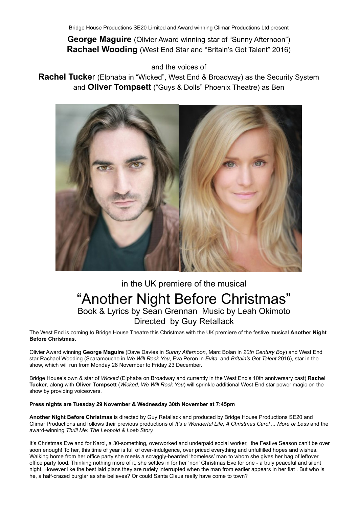**George Maguire** (Olivier Award winning star of "Sunny Afternoon") **Rachael Wooding** (West End Star and "Britain's Got Talent" 2016)

and the voices of

**Rachel Tucke**r (Elphaba in "Wicked", West End & Broadway) as the Security System and **Oliver Tompsett** ("Guys & Dolls" Phoenix Theatre) as Ben



# in the UK premiere of the musical "Another Night Before Christmas" Book & Lyrics by Sean Grennan Music by Leah Okimoto Directed by Guy Retallack

The West End is coming to Bridge House Theatre this Christmas with the UK premiere of the festive musical **Another Night Before Christmas**.

Olivier Award winning **George Maguire** (Dave Davies in *Sunny Afternoon*, Marc Bolan in *20th Century Boy*) and West End star Rachael Wooding (Scaramouche in *We Will Rock You*, Eva Peron in *Evita*, and *Britain's Got Talent* 2016), star in the show, which will run from Monday 28 November to Friday 23 December.

Bridge House's own & star of *Wicked* (Elphaba on Broadway and currently in the West End's 10th anniversary cast) **Rachel Tucker**, along with **Oliver Tompsett** (*Wicked, We Will Rock You*) will sprinkle additional West End star power magic on the show by providing voiceovers.

### **Press nights are Tuesday 29 November & Wednesday 30th November at 7:45pm**

**Another Night Before Christmas** is directed by Guy Retallack and produced by Bridge House Productions SE20 and Climar Productions and follows their previous productions of *It's a Wonderful Life, A Christmas Carol ... More or Less* and the award-winning *Thrill Me: The Leopold & Loeb Story.*

It's Christmas Eve and for Karol, a 30-something, overworked and underpaid social worker, the Festive Season can't be over soon enough! To her, this time of year is full of over-indulgence, over priced everything and unfulfilled hopes and wishes. Walking home from her office party she meets a scraggly-bearded 'homeless' man to whom she gives her bag of leftover office party food. Thinking nothing more of it, she settles in for her 'non' Christmas Eve for one - a truly peaceful and silent night. However like the best laid plans they are rudely interrupted when the man from earlier appears in her flat . But who is he, a half-crazed burglar as she believes? Or could Santa Claus really have come to town?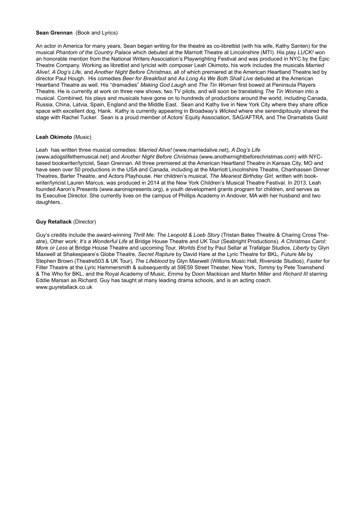#### **Sean Grennan** (Book and Lyrics)

An actor in America for many years, Sean began writing for the theatre as co-librettist (with his wife, Kathy Santen) for the musical *Phantom of the Country Palace* which debuted at the Marriott Theatre at Lincolnshire (MTI). His play *LUCK!* won an honorable mention from the National Writers Association's Playwrighting Festival and was produced in NYC by the Epic Theatre Company. Working as librettist and lyricist with composer Leah Okimoto, his work includes the musicals *Married Alive!, A Dog's Life,* and *Another Night Before Christmas*, all of which premiered at the American Heartland Theatre led by director Paul Hough. His comedies *Beer for Breakfast* and *As Long As We Both Shall Live* debuted at the American Heartland Theatre as well. His "dramadies" *Making God Laugh* and *The Tin Woman* first bowed at Peninsula Players Theatre. He is currently at work on three new shows, two TV pilots, and will soon be translating *The Tin Woman* into a musical. Combined, his plays and musicals have gone on to hundreds of productions around the world, including Canada, Russia, China, Latvia, Spain, England and the Middle East. Sean and Kathy live in New York City where they share office space with excellent dog, Hank. Kathy is currently appearing in Broadway's *Wicked* where she serendipitously shared the stage with Rachel Tucker. Sean is a proud member of Actors' Equity Association, SAG/AFTRA, and The Dramatists Guild

#### **Leah Okimoto** (Music)

Leah has written three musical comedies: *Married Alive!* (www.marriedalive.net), *A Dog's Life* (www.adogslifethemusical.net) and *Another Night Before Christmas* (www.anothernightbeforechristmas.com) with NYCbased bookwriter/lyricist, Sean Grennan. All three premiered at the American Heartland Theatre in Kansas City, MO and have seen over 50 productions in the USA and Canada, including at the Marriott Lincolnshire Theatre, Chanhassen Dinner Theatres, Barter Theatre, and Actors Playhouse. Her children's musical, *The Meanest Birthday Girl,* written with bookwriter/lyricist Lauren Marcus, was produced in 2014 at the New York Children's Musical Theatre Festival. In 2013, Leah founded Aaron's Presents (www.aaronspresents.org), a youth development grants program for children, and serves as its Executive Director. She currently lives on the campus of Phillips Academy in Andover, MA with her husband and two daughters..

#### **Guy Retallack** (Director)

Guy's credits include the award-winning *Thrill Me: The Leopold & Loeb Story* (Tristan Bates Theatre & Charing Cross Theatre), Other work: *It's a Wonderful Life* at Bridge House Theatre and UK Tour (Seabright Productions). *A Christmas Carol: More or Less* at Bridge House Theatre and upcoming Tour, *Worlds End* by Paul Sellar at Trafalgar Studios, *Liberty* by Glyn Maxwell at Shakespeare's Globe Theatre, *Secret Rapture* by David Hare at the Lyric Theatre for BKL, *Future Me* by Stephen Brown (Theatre503 & UK Tour), *The Lifeblood* by Glyn Maxwell (Wiltons Music Hall, Riverside Studios), *Faster* for Filter Theatre at the Lyric Hammersmith & subsequently at 59E59 Street Theater, New York, *Tommy* by Pete Townshend & The Who for BKL, and the Royal Academy of Music, *Emma* by Doon Mackican and Martin Miller and *Richard III* starring Eddie Marsan as Richard. Guy has taught at many leading drama schools, and is an acting coach. www.guyretallack.co.uk